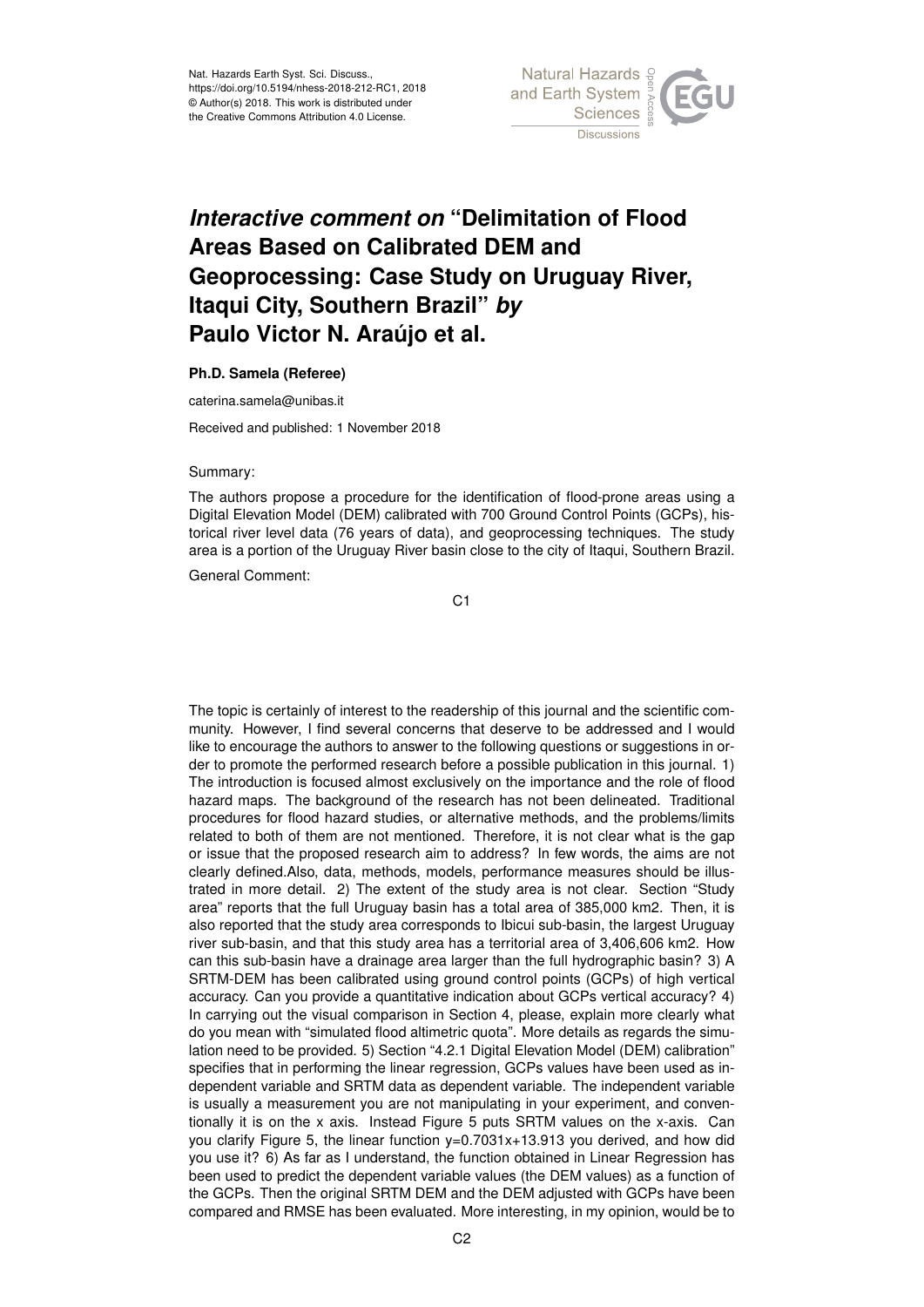

## *Interactive comment on* **"Delimitation of Flood Areas Based on Calibrated DEM and Geoprocessing: Case Study on Uruguay River, Itaqui City, Southern Brazil"** *by* **Paulo Victor N. Araújo et al.**

## **Ph.D. Samela (Referee)**

caterina.samela@unibas.it

Received and published: 1 November 2018

## Summary:

The authors propose a procedure for the identification of flood-prone areas using a Digital Elevation Model (DEM) calibrated with 700 Ground Control Points (GCPs), historical river level data (76 years of data), and geoprocessing techniques. The study area is a portion of the Uruguay River basin close to the city of Itaqui, Southern Brazil.

General Comment:

C1

The topic is certainly of interest to the readership of this journal and the scientific community. However, I find several concerns that deserve to be addressed and I would like to encourage the authors to answer to the following questions or suggestions in order to promote the performed research before a possible publication in this journal. 1) The introduction is focused almost exclusively on the importance and the role of flood hazard maps. The background of the research has not been delineated. Traditional procedures for flood hazard studies, or alternative methods, and the problems/limits related to both of them are not mentioned. Therefore, it is not clear what is the gap or issue that the proposed research aim to address? In few words, the aims are not clearly defined.Also, data, methods, models, performance measures should be illustrated in more detail. 2) The extent of the study area is not clear. Section "Study area" reports that the full Uruguay basin has a total area of 385,000 km2. Then, it is also reported that the study area corresponds to Ibicui sub-basin, the largest Uruguay river sub-basin, and that this study area has a territorial area of 3,406,606 km2. How can this sub-basin have a drainage area larger than the full hydrographic basin? 3) A SRTM-DEM has been calibrated using ground control points (GCPs) of high vertical accuracy. Can you provide a quantitative indication about GCPs vertical accuracy? 4) In carrying out the visual comparison in Section 4, please, explain more clearly what do you mean with "simulated flood altimetric quota". More details as regards the simulation need to be provided. 5) Section "4.2.1 Digital Elevation Model (DEM) calibration" specifies that in performing the linear regression, GCPs values have been used as independent variable and SRTM data as dependent variable. The independent variable is usually a measurement you are not manipulating in your experiment, and conventionally it is on the x axis. Instead Figure 5 puts SRTM values on the x-axis. Can you clarify Figure 5, the linear function  $y=0.7031x+13.913$  you derived, and how did you use it? 6) As far as I understand, the function obtained in Linear Regression has been used to predict the dependent variable values (the DEM values) as a function of the GCPs. Then the original SRTM DEM and the DEM adjusted with GCPs have been compared and RMSE has been evaluated. More interesting, in my opinion, would be to